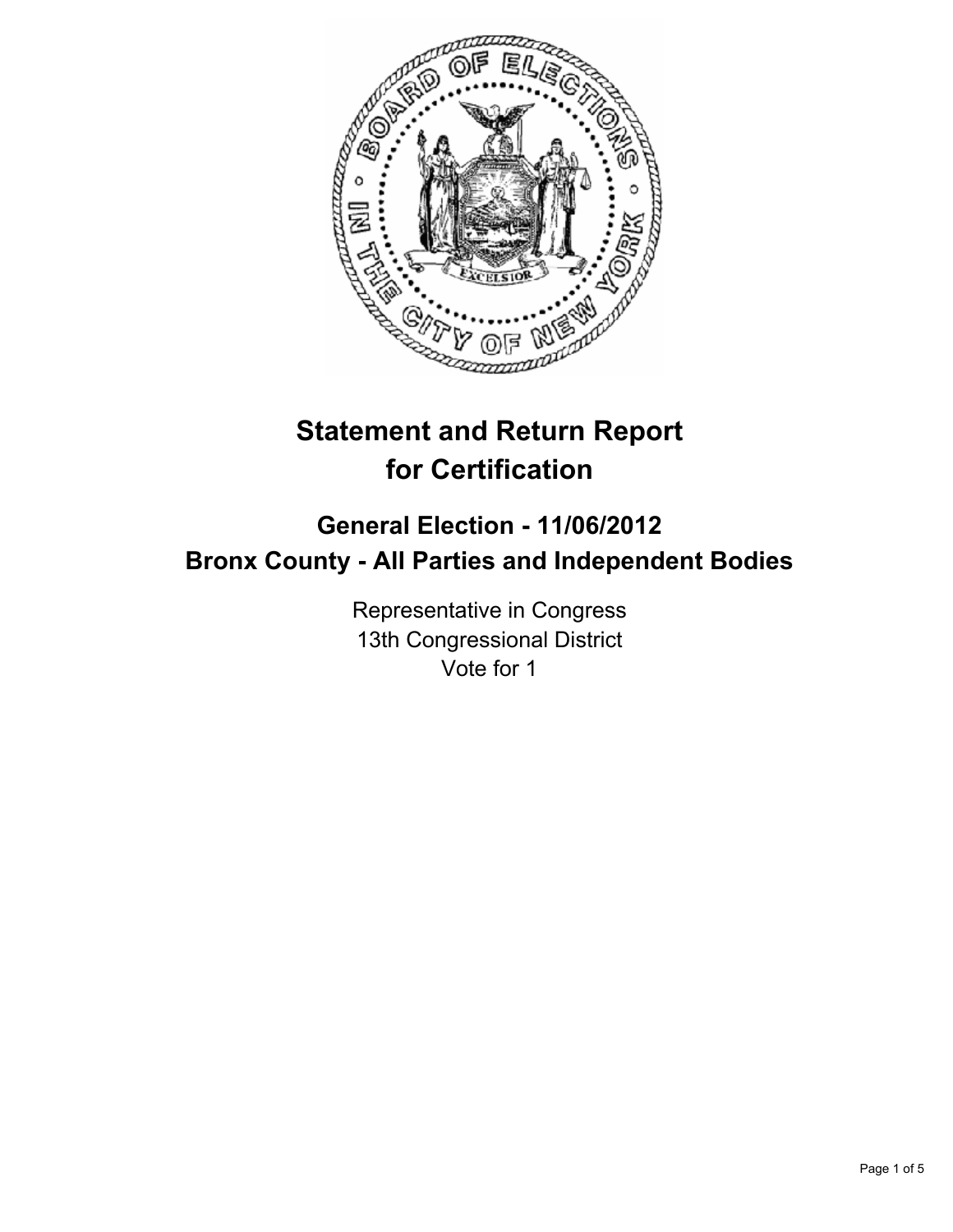

# **Statement and Return Report for Certification**

## **General Election - 11/06/2012 Bronx County - All Parties and Independent Bodies**

Representative in Congress 13th Congressional District Vote for 1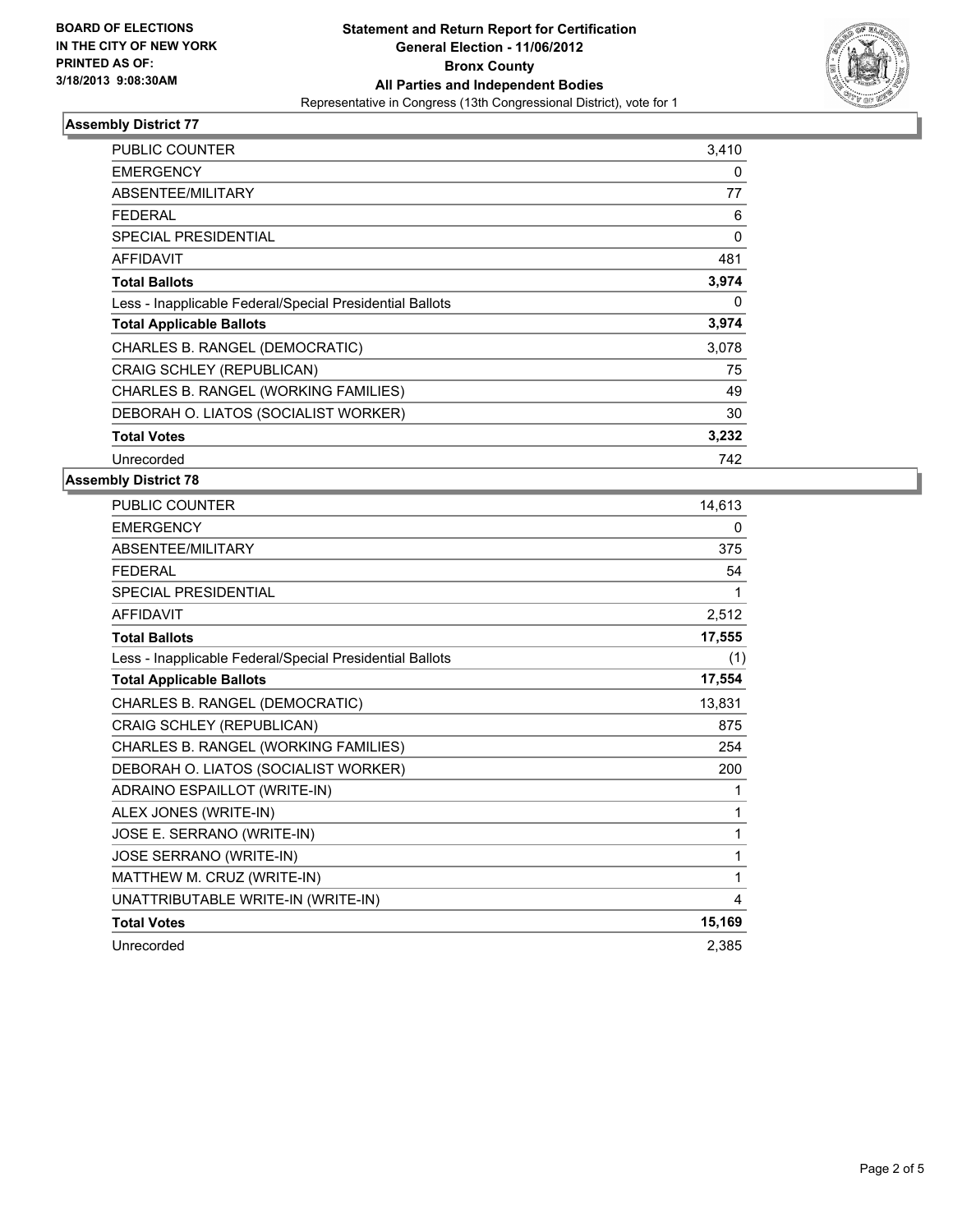

#### **Assembly District 77**

| <b>PUBLIC COUNTER</b>                                    | 3,410 |
|----------------------------------------------------------|-------|
| <b>EMERGENCY</b>                                         | 0     |
| ABSENTEE/MILITARY                                        | 77    |
| FEDERAL                                                  | 6     |
| <b>SPECIAL PRESIDENTIAL</b>                              | 0     |
| AFFIDAVIT                                                | 481   |
| <b>Total Ballots</b>                                     | 3,974 |
| Less - Inapplicable Federal/Special Presidential Ballots | 0     |
| <b>Total Applicable Ballots</b>                          | 3,974 |
| CHARLES B. RANGEL (DEMOCRATIC)                           | 3,078 |
| CRAIG SCHLEY (REPUBLICAN)                                | 75    |
| CHARLES B. RANGEL (WORKING FAMILIES)                     | 49    |
| DEBORAH O. LIATOS (SOCIALIST WORKER)                     | 30    |
| <b>Total Votes</b>                                       | 3,232 |
| Unrecorded                                               | 742   |

### **Assembly District 78**

| <b>PUBLIC COUNTER</b>                                    | 14,613 |
|----------------------------------------------------------|--------|
| <b>EMERGENCY</b>                                         | 0      |
| <b>ABSENTEE/MILITARY</b>                                 | 375    |
| <b>FEDERAL</b>                                           | 54     |
| <b>SPECIAL PRESIDENTIAL</b>                              | 1      |
| <b>AFFIDAVIT</b>                                         | 2,512  |
| <b>Total Ballots</b>                                     | 17,555 |
| Less - Inapplicable Federal/Special Presidential Ballots | (1)    |
| <b>Total Applicable Ballots</b>                          | 17,554 |
| CHARLES B. RANGEL (DEMOCRATIC)                           | 13,831 |
| CRAIG SCHLEY (REPUBLICAN)                                | 875    |
| CHARLES B. RANGEL (WORKING FAMILIES)                     | 254    |
| DEBORAH O. LIATOS (SOCIALIST WORKER)                     | 200    |
| ADRAINO ESPAILLOT (WRITE-IN)                             |        |
| ALEX JONES (WRITE-IN)                                    | 1      |
| JOSE E. SERRANO (WRITE-IN)                               | 1      |
| JOSE SERRANO (WRITE-IN)                                  | 1      |
| MATTHEW M. CRUZ (WRITE-IN)                               | 1      |
| UNATTRIBUTABLE WRITE-IN (WRITE-IN)                       | 4      |
| <b>Total Votes</b>                                       | 15,169 |
| Unrecorded                                               | 2,385  |
|                                                          |        |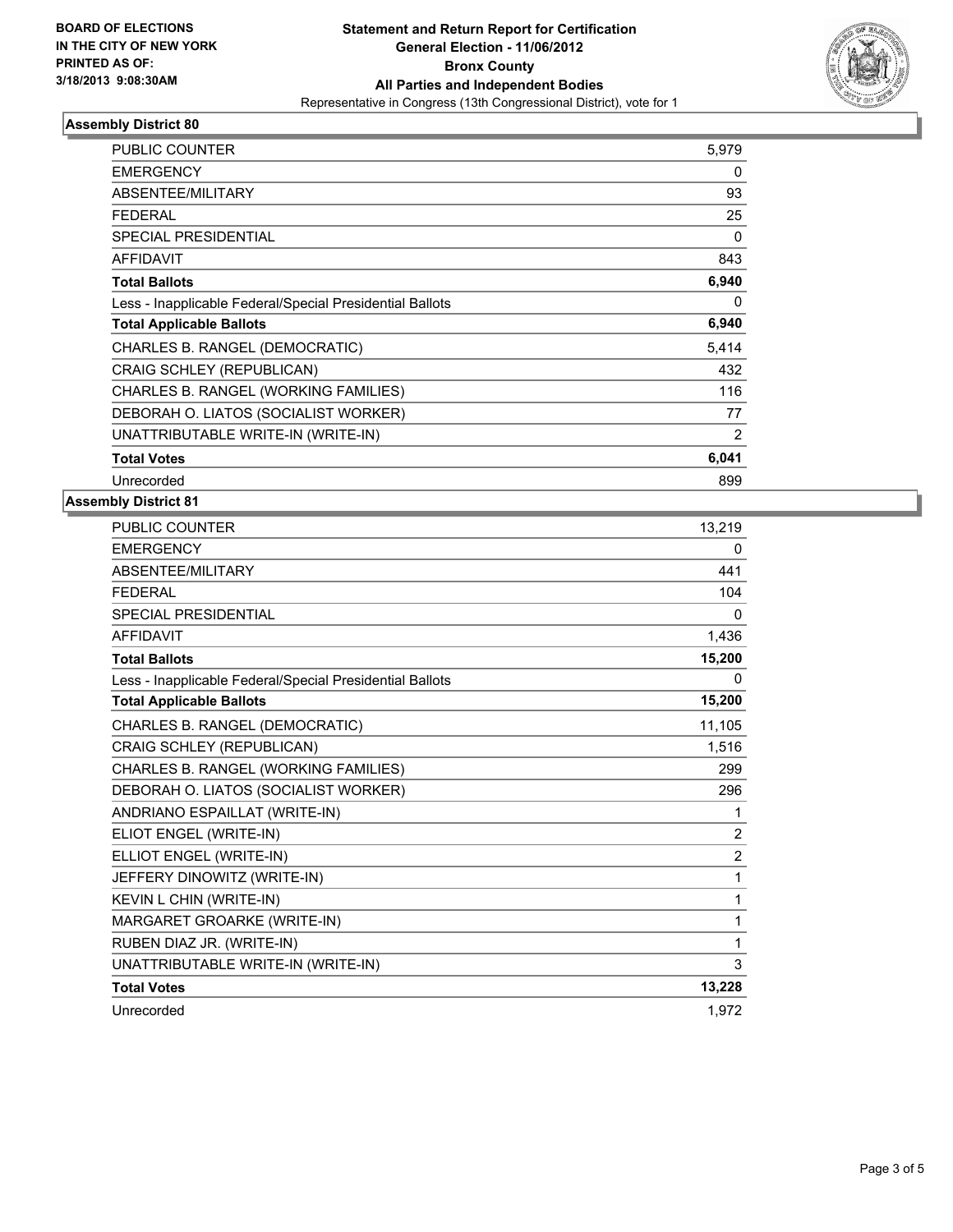

#### **Assembly District 80**

| PUBLIC COUNTER                                           | 5,979 |
|----------------------------------------------------------|-------|
| <b>EMERGENCY</b>                                         | 0     |
| ABSENTEE/MILITARY                                        | 93    |
| <b>FEDERAL</b>                                           | 25    |
| <b>SPECIAL PRESIDENTIAL</b>                              | 0     |
| <b>AFFIDAVIT</b>                                         | 843   |
| <b>Total Ballots</b>                                     | 6,940 |
| Less - Inapplicable Federal/Special Presidential Ballots | 0     |
| <b>Total Applicable Ballots</b>                          | 6,940 |
| CHARLES B. RANGEL (DEMOCRATIC)                           | 5,414 |
| CRAIG SCHLEY (REPUBLICAN)                                | 432   |
| CHARLES B. RANGEL (WORKING FAMILIES)                     | 116   |
| DEBORAH O. LIATOS (SOCIALIST WORKER)                     | 77    |
| UNATTRIBUTABLE WRITE-IN (WRITE-IN)                       | 2     |
| <b>Total Votes</b>                                       | 6,041 |
| Unrecorded                                               | 899   |

#### **Assembly District 81**

| PUBLIC COUNTER                                           | 13,219         |
|----------------------------------------------------------|----------------|
| <b>EMERGENCY</b>                                         | 0              |
| <b>ABSENTEE/MILITARY</b>                                 | 441            |
| <b>FEDERAL</b>                                           | 104            |
| <b>SPECIAL PRESIDENTIAL</b>                              | $\Omega$       |
| <b>AFFIDAVIT</b>                                         | 1,436          |
| <b>Total Ballots</b>                                     | 15,200         |
| Less - Inapplicable Federal/Special Presidential Ballots | 0              |
| <b>Total Applicable Ballots</b>                          | 15,200         |
| CHARLES B. RANGEL (DEMOCRATIC)                           | 11,105         |
| CRAIG SCHLEY (REPUBLICAN)                                | 1,516          |
| CHARLES B. RANGEL (WORKING FAMILIES)                     | 299            |
| DEBORAH O. LIATOS (SOCIALIST WORKER)                     | 296            |
| ANDRIANO ESPAILLAT (WRITE-IN)                            | 1              |
| ELIOT ENGEL (WRITE-IN)                                   | 2              |
| ELLIOT ENGEL (WRITE-IN)                                  | $\overline{2}$ |
| JEFFERY DINOWITZ (WRITE-IN)                              | 1              |
| KEVIN L CHIN (WRITE-IN)                                  | 1              |
| MARGARET GROARKE (WRITE-IN)                              | 1              |
| RUBEN DIAZ JR. (WRITE-IN)                                | 1              |
| UNATTRIBUTABLE WRITE-IN (WRITE-IN)                       | 3              |
| <b>Total Votes</b>                                       | 13,228         |
| Unrecorded                                               | 1.972          |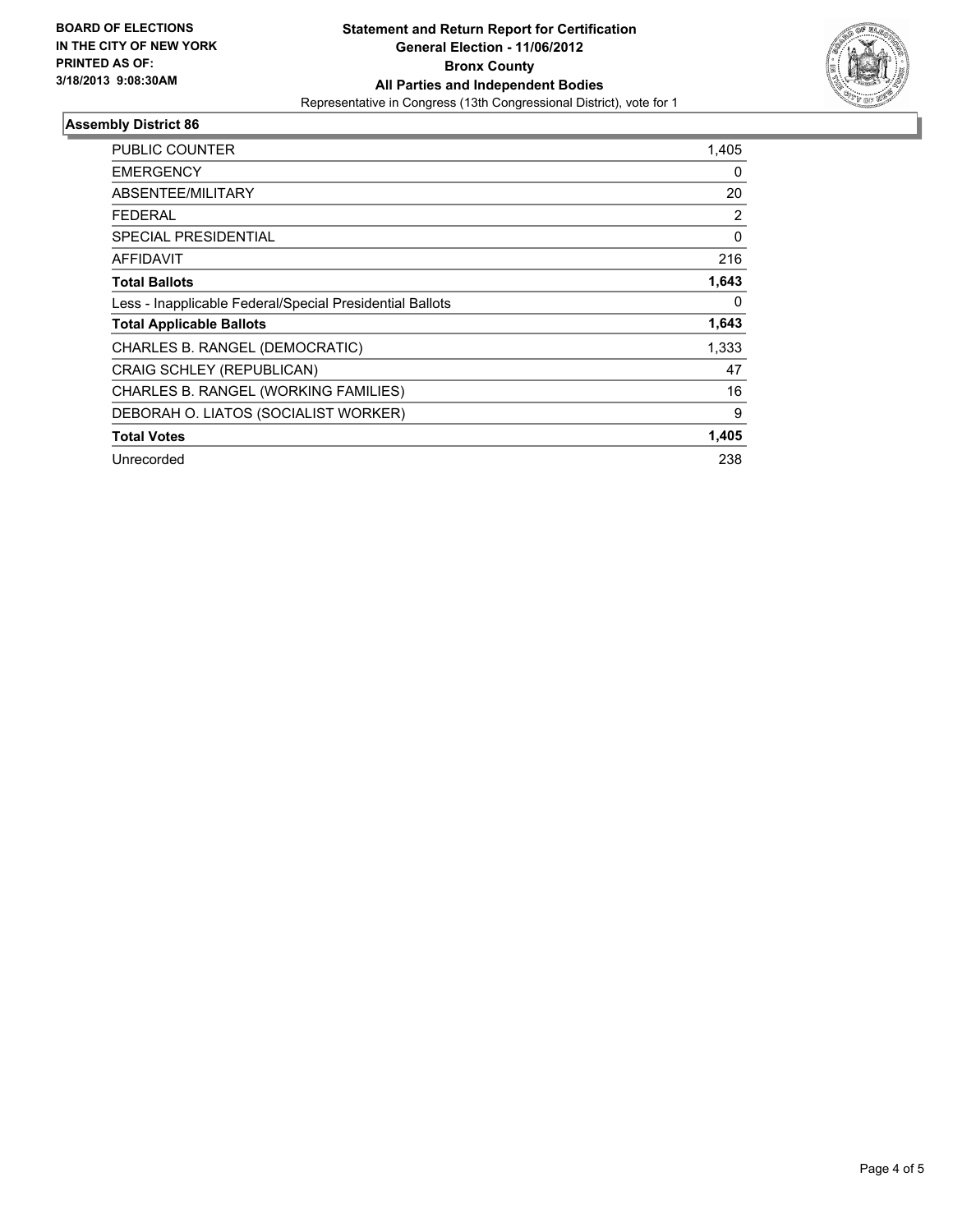

#### **Assembly District 86**

| <b>PUBLIC COUNTER</b>                                    | 1,405    |
|----------------------------------------------------------|----------|
| <b>EMERGENCY</b>                                         | 0        |
| ABSENTEE/MILITARY                                        | 20       |
| <b>FEDERAL</b>                                           | 2        |
| <b>SPECIAL PRESIDENTIAL</b>                              | $\Omega$ |
| <b>AFFIDAVIT</b>                                         | 216      |
| <b>Total Ballots</b>                                     | 1,643    |
| Less - Inapplicable Federal/Special Presidential Ballots | 0        |
| <b>Total Applicable Ballots</b>                          | 1,643    |
| CHARLES B. RANGEL (DEMOCRATIC)                           | 1,333    |
| CRAIG SCHLEY (REPUBLICAN)                                | 47       |
| CHARLES B. RANGEL (WORKING FAMILIES)                     | 16       |
| DEBORAH O. LIATOS (SOCIALIST WORKER)                     | 9        |
| <b>Total Votes</b>                                       | 1,405    |
| Unrecorded                                               | 238      |